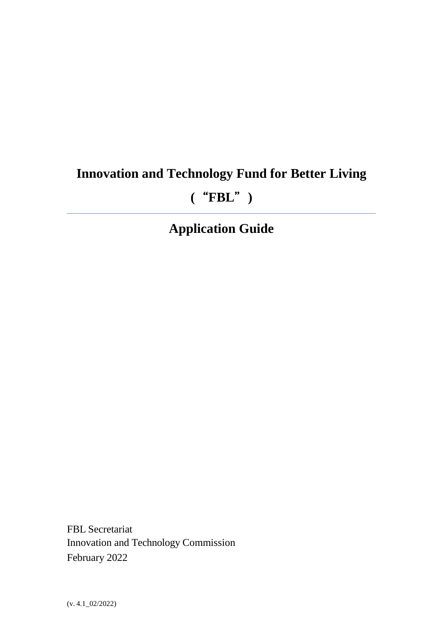# **Innovation and Technology Fund for Better Living**

## **(**"**FBL**"**)**

## **Application Guide**

FBL Secretariat Innovation and Technology Commission February 2022

(v. 4.1\_02/2022)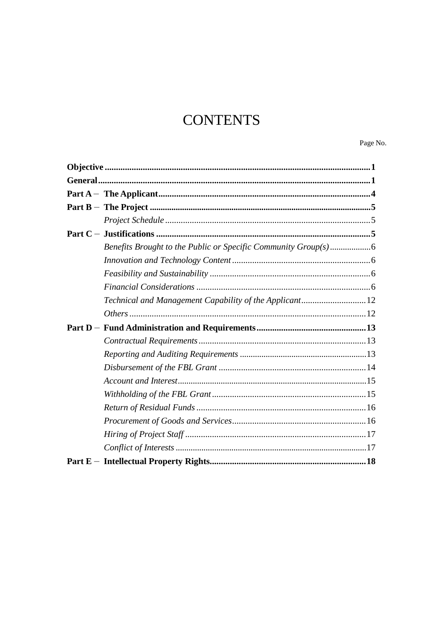## **CONTENTS**

Page No.

| Technical and Management Capability of the Applicant 12 |  |
|---------------------------------------------------------|--|
|                                                         |  |
|                                                         |  |
|                                                         |  |
|                                                         |  |
|                                                         |  |
|                                                         |  |
|                                                         |  |
|                                                         |  |
|                                                         |  |
|                                                         |  |
|                                                         |  |
|                                                         |  |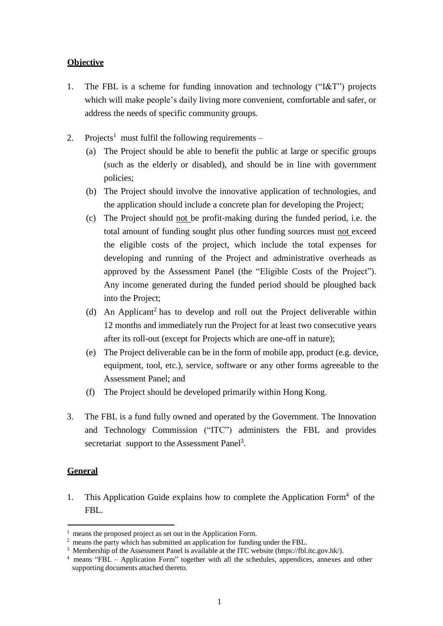## <span id="page-2-0"></span>**Objective**

- 1. The FBL is a scheme for funding innovation and technology ("I&T") projects which will make people's daily living more convenient, comfortable and safer, or address the needs of specific community groups.
- 2. Projects<sup>1</sup> must fulfil the following requirements
	- (a) The Project should be able to benefit the public at large or specific groups (such as the elderly or disabled), and should be in line with government policies;
	- (b) The Project should involve the innovative application of technologies, and the application should include a concrete plan for developing the Project;
	- (c) The Project should not be profit-making during the funded period, i.e. the total amount of funding sought plus other funding sources must not exceed the eligible costs of the project, which include the total expenses for developing and running of the Project and administrative overheads as approved by the Assessment Panel (the "Eligible Costs of the Project"). Any income generated during the funded period should be ploughed back into the Project;
	- (d) An Applicant<sup>2</sup> has to develop and roll out the Project deliverable within 12 months and immediately run the Project for at least two consecutive years after its roll-out (except for Projects which are one-off in nature);
	- (e) The Project deliverable can be in the form of mobile app, product (e.g. device, equipment, tool, etc.), service, software or any other forms agreeable to the Assessment Panel; and
	- (f) The Project should be developed primarily within Hong Kong.
- 3. The FBL is a fund fully owned and operated by the Government. The Innovation and Technology Commission ("ITC") administers the FBL and provides secretariat support to the Assessment Panel<sup>3</sup>.

## <span id="page-2-1"></span>**General**

1. This Application Guide explains how to complete the Application Form<sup>4</sup> of the FBL.

 $1$  means the proposed project as set out in the Application Form.

<sup>&</sup>lt;sup>2</sup> means the party which has submitted an application for funding under the FBL.

<sup>&</sup>lt;sup>3</sup> Membership of the Assessment Panel is available at the ITC website (https://fbl.itc.gov.hk/).

<sup>&</sup>lt;sup>4</sup> means "FBL – Application Form" together with all the schedules, appendices, annexes and other supporting documents attached thereto.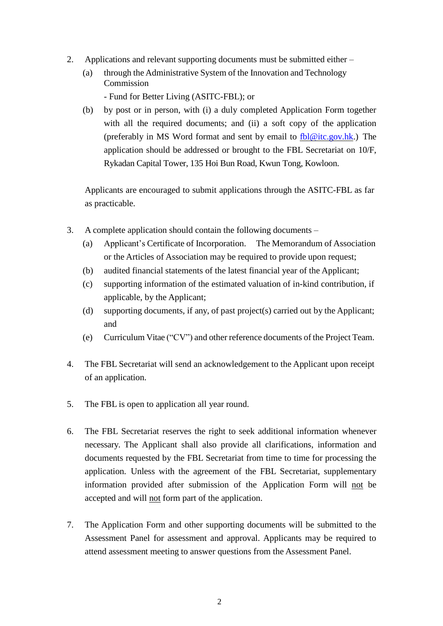- 2. Applications and relevant supporting documents must be submitted either
	- (a) through the Administrative System of the Innovation and Technology Commission

- Fund for Better Living (ASITC-FBL); or

(b) by post or in person, with (i) a duly completed Application Form together with all the required documents; and (ii) a soft copy of the application (preferably in MS Word format and sent by email to [fbl@itc.gov.hk.](mailto:fbl@itc.gov.hk)) The application should be addressed or brought to the FBL Secretariat on 10/F, Rykadan Capital Tower, 135 Hoi Bun Road, Kwun Tong, Kowloon.

Applicants are encouraged to submit applications through the ASITC-FBL as far as practicable.

- 3. A complete application should contain the following documents
	- (a) Applicant's Certificate of Incorporation. The Memorandum of Association or the Articles of Association may be required to provide upon request;
	- (b) audited financial statements of the latest financial year of the Applicant;
	- (c) supporting information of the estimated valuation of in-kind contribution, if applicable, by the Applicant;
	- (d) supporting documents, if any, of past project(s) carried out by the Applicant; and
	- (e) Curriculum Vitae ("CV") and other reference documents of the Project Team.
- 4. The FBL Secretariat will send an acknowledgement to the Applicant upon receipt of an application.
- 5. The FBL is open to application all year round.
- 6. The FBL Secretariat reserves the right to seek additional information whenever necessary. The Applicant shall also provide all clarifications, information and documents requested by the FBL Secretariat from time to time for processing the application. Unless with the agreement of the FBL Secretariat, supplementary information provided after submission of the Application Form will not be accepted and will not form part of the application.
- 7. The Application Form and other supporting documents will be submitted to the Assessment Panel for assessment and approval. Applicants may be required to attend assessment meeting to answer questions from the Assessment Panel.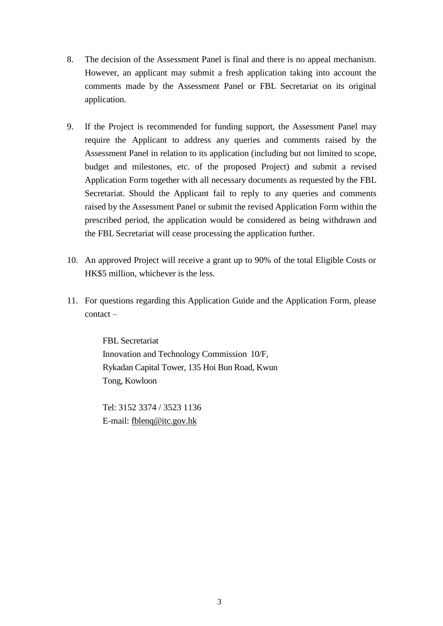- 8. The decision of the Assessment Panel is final and there is no appeal mechanism. However, an applicant may submit a fresh application taking into account the comments made by the Assessment Panel or FBL Secretariat on its original application.
- 9. If the Project is recommended for funding support, the Assessment Panel may require the Applicant to address any queries and comments raised by the Assessment Panel in relation to its application (including but not limited to scope, budget and milestones, etc. of the proposed Project) and submit a revised Application Form together with all necessary documents as requested by the FBL Secretariat. Should the Applicant fail to reply to any queries and comments raised by the Assessment Panel or submit the revised Application Form within the prescribed period, the application would be considered as being withdrawn and the FBL Secretariat will cease processing the application further.
- 10. An approved Project will receive a grant up to 90% of the total Eligible Costs or HK\$5 million, whichever is the less.
- 11. For questions regarding this Application Guide and the Application Form, please contact –

FBL Secretariat Innovation and Technology Commission 10/F, Rykadan Capital Tower, 135 Hoi Bun Road, Kwun Tong, Kowloon

Tel: 3152 3374 / 3523 1136 E-mail: [fblenq@itc.gov.hk](mailto:fblenq@itb.gov.hk)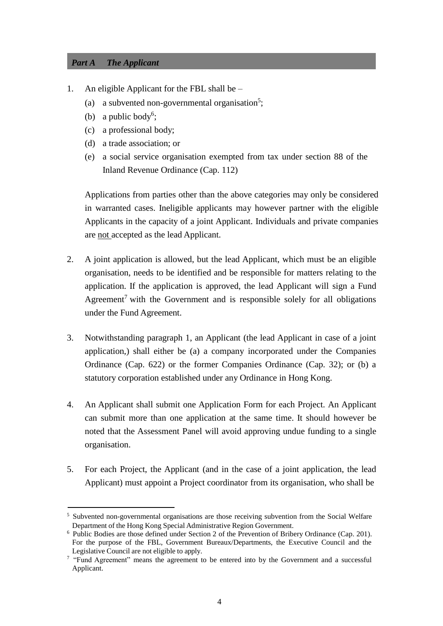## <span id="page-5-0"></span>*Part A The Applicant*

- 1. An eligible Applicant for the FBL shall be
	- (a) a subvented non-governmental organisation<sup>5</sup>;
	- (b) a public body<sup>6</sup>;
	- (c) a professional body;
	- (d) a trade association; or
	- (e) a social service organisation exempted from tax under section 88 of the Inland Revenue Ordinance (Cap. 112)

Applications from parties other than the above categories may only be considered in warranted cases. Ineligible applicants may however partner with the eligible Applicants in the capacity of a joint Applicant. Individuals and private companies are not accepted as the lead Applicant.

- 2. A joint application is allowed, but the lead Applicant, which must be an eligible organisation, needs to be identified and be responsible for matters relating to the application. If the application is approved, the lead Applicant will sign a Fund Agreement<sup>7</sup> with the Government and is responsible solely for all obligations under the Fund Agreement.
- 3. Notwithstanding paragraph 1, an Applicant (the lead Applicant in case of a joint application,) shall either be (a) a company incorporated under the Companies Ordinance (Cap. 622) or the former Companies Ordinance (Cap. 32); or (b) a statutory corporation established under any Ordinance in Hong Kong.
- 4. An Applicant shall submit one Application Form for each Project. An Applicant can submit more than one application at the same time. It should however be noted that the Assessment Panel will avoid approving undue funding to a single organisation.
- 5. For each Project, the Applicant (and in the case of a joint application, the lead Applicant) must appoint a Project coordinator from its organisation, who shall be

<sup>&</sup>lt;sup>5</sup> Subvented non-governmental organisations are those receiving subvention from the Social Welfare Department of the Hong Kong Special Administrative Region Government.

 $6$  Public Bodies are those defined under Section 2 of the Prevention of Bribery Ordinance (Cap. 201). For the purpose of the FBL, Government Bureaux/Departments, the Executive Council and the Legislative Council are not eligible to apply.

<sup>7</sup>"Fund Agreement" means the agreement to be entered into by the Government and a successful Applicant.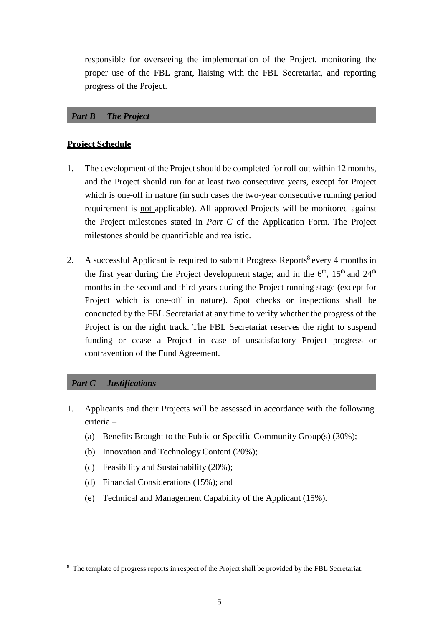responsible for overseeing the implementation of the Project, monitoring the proper use of the FBL grant, liaising with the FBL Secretariat, and reporting progress of the Project.

## <span id="page-6-0"></span>*Part B The Project*

## <span id="page-6-1"></span>**Project Schedule**

- 1. The development of the Project should be completed for roll-out within 12 months, and the Project should run for at least two consecutive years, except for Project which is one-off in nature (in such cases the two-year consecutive running period requirement is not applicable). All approved Projects will be monitored against the Project milestones stated in *Part C* of the Application Form. The Project milestones should be quantifiable and realistic.
- 2. A successful Applicant is required to submit Progress Reports<sup>8</sup> every 4 months in the first year during the Project development stage; and in the  $6<sup>th</sup>$ ,  $15<sup>th</sup>$  and  $24<sup>th</sup>$ months in the second and third years during the Project running stage (except for Project which is one-off in nature). Spot checks or inspections shall be conducted by the FBL Secretariat at any time to verify whether the progress of the Project is on the right track. The FBL Secretariat reserves the right to suspend funding or cease a Project in case of unsatisfactory Project progress or contravention of the Fund Agreement.

#### <span id="page-6-2"></span>*Part C Justifications*

- 1. Applicants and their Projects will be assessed in accordance with the following criteria –
	- (a) Benefits Brought to the Public or Specific Community Group(s) (30%);
	- (b) Innovation and Technology Content (20%);
	- (c) Feasibility and Sustainability (20%);
	- (d) Financial Considerations (15%); and
	- (e) Technical and Management Capability of the Applicant (15%).

<sup>&</sup>lt;sup>8</sup> The template of progress reports in respect of the Project shall be provided by the FBL Secretariat.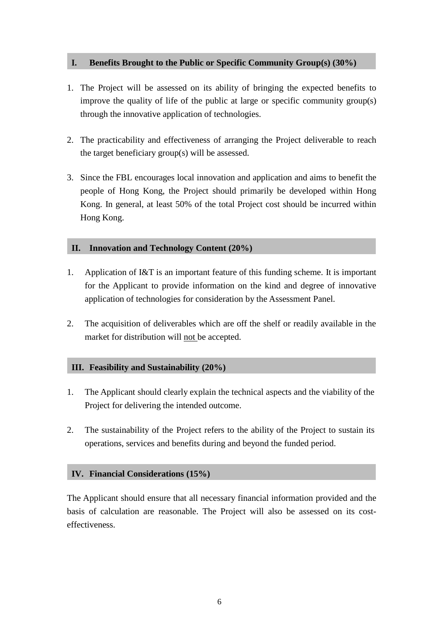## <span id="page-7-0"></span>**I. Benefits Brought to the Public or Specific Community Group(s) (30%)**

- 1. The Project will be assessed on its ability of bringing the expected benefits to improve the quality of life of the public at large or specific community group(s) through the innovative application of technologies.
- 2. The practicability and effectiveness of arranging the Project deliverable to reach the target beneficiary group(s) will be assessed.
- 3. Since the FBL encourages local innovation and application and aims to benefit the people of Hong Kong, the Project should primarily be developed within Hong Kong. In general, at least 50% of the total Project cost should be incurred within Hong Kong.

## <span id="page-7-1"></span>**II. Innovation and Technology Content (20%)**

- 1. Application of I&T is an important feature of this funding scheme. It is important for the Applicant to provide information on the kind and degree of innovative application of technologies for consideration by the Assessment Panel.
- 2. The acquisition of deliverables which are off the shelf or readily available in the market for distribution will not be accepted.

## <span id="page-7-2"></span>**III. Feasibility and Sustainability (20%)**

- 1. The Applicant should clearly explain the technical aspects and the viability of the Project for delivering the intended outcome.
- 2. The sustainability of the Project refers to the ability of the Project to sustain its operations, services and benefits during and beyond the funded period.

## <span id="page-7-3"></span>**IV. Financial Considerations (15%)**

The Applicant should ensure that all necessary financial information provided and the basis of calculation are reasonable. The Project will also be assessed on its costeffectiveness.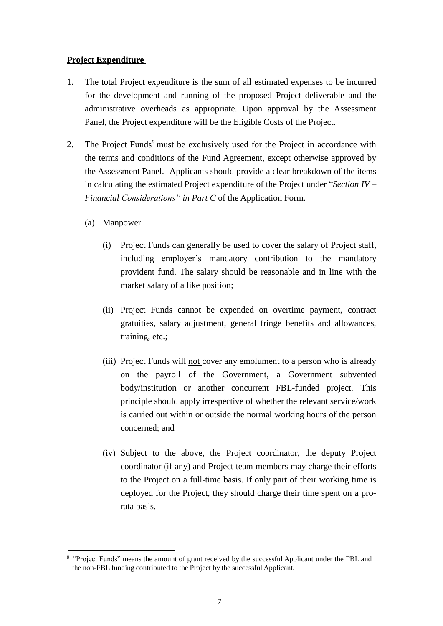## **Project Expenditure**

- 1. The total Project expenditure is the sum of all estimated expenses to be incurred for the development and running of the proposed Project deliverable and the administrative overheads as appropriate. Upon approval by the Assessment Panel, the Project expenditure will be the Eligible Costs of the Project.
- 2. The Project Funds<sup>9</sup> must be exclusively used for the Project in accordance with the terms and conditions of the Fund Agreement, except otherwise approved by the Assessment Panel. Applicants should provide a clear breakdown of the items in calculating the estimated Project expenditure of the Project under "*Section IV – Financial Considerations" in Part C* of the Application Form.
	- (a) Manpower
		- (i) Project Funds can generally be used to cover the salary of Project staff, including employer's mandatory contribution to the mandatory provident fund. The salary should be reasonable and in line with the market salary of a like position;
		- (ii) Project Funds cannot be expended on overtime payment, contract gratuities, salary adjustment, general fringe benefits and allowances, training, etc.;
		- (iii) Project Funds will not cover any emolument to a person who is already on the payroll of the Government, a Government subvented body/institution or another concurrent FBL-funded project. This principle should apply irrespective of whether the relevant service/work is carried out within or outside the normal working hours of the person concerned; and
		- (iv) Subject to the above, the Project coordinator, the deputy Project coordinator (if any) and Project team members may charge their efforts to the Project on a full-time basis. If only part of their working time is deployed for the Project, they should charge their time spent on a prorata basis.

<sup>9</sup>"Project Funds" means the amount of grant received by the successful Applicant under the FBL and the non-FBL funding contributed to the Project by the successful Applicant.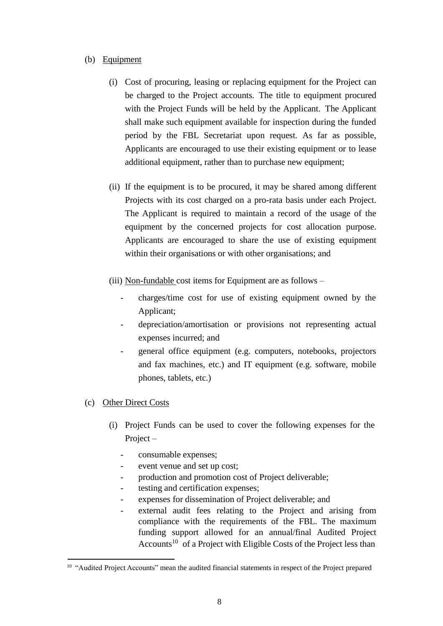## (b) Equipment

- (i) Cost of procuring, leasing or replacing equipment for the Project can be charged to the Project accounts. The title to equipment procured with the Project Funds will be held by the Applicant. The Applicant shall make such equipment available for inspection during the funded period by the FBL Secretariat upon request. As far as possible, Applicants are encouraged to use their existing equipment or to lease additional equipment, rather than to purchase new equipment;
- (ii) If the equipment is to be procured, it may be shared among different Projects with its cost charged on a pro-rata basis under each Project. The Applicant is required to maintain a record of the usage of the equipment by the concerned projects for cost allocation purpose. Applicants are encouraged to share the use of existing equipment within their organisations or with other organisations; and
- (iii) Non-fundable cost items for Equipment are as follows
	- charges/time cost for use of existing equipment owned by the Applicant;
	- depreciation/amortisation or provisions not representing actual expenses incurred; and
	- general office equipment (e.g. computers, notebooks, projectors and fax machines, etc.) and IT equipment (e.g. software, mobile phones, tablets, etc.)

## (c) Other Direct Costs

- (i) Project Funds can be used to cover the following expenses for the Project –
	- consumable expenses;
	- event venue and set up cost;
	- production and promotion cost of Project deliverable;
	- testing and certification expenses;
	- expenses for dissemination of Project deliverable; and
	- external audit fees relating to the Project and arising from compliance with the requirements of the FBL. The maximum funding support allowed for an annual/final Audited Project Accounts<sup>10</sup> of a Project with Eligible Costs of the Project less than

<sup>&</sup>lt;sup>10</sup> "Audited Project Accounts" mean the audited financial statements in respect of the Project prepared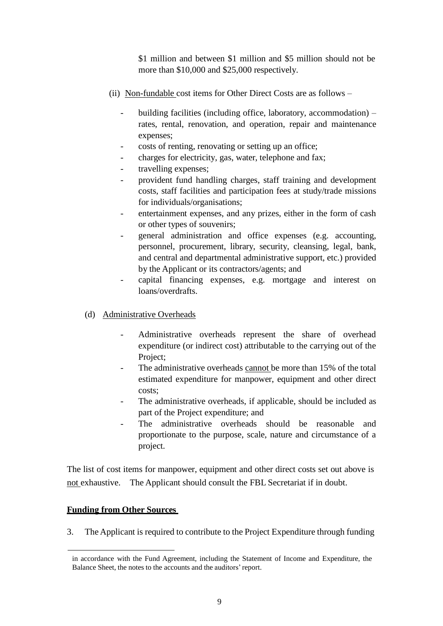\$1 million and between \$1 million and \$5 million should not be more than \$10,000 and \$25,000 respectively.

- (ii) Non-fundable cost items for Other Direct Costs are as follows
	- building facilities (including office, laboratory, accommodation) rates, rental, renovation, and operation, repair and maintenance expenses;
	- costs of renting, renovating or setting up an office;
	- charges for electricity, gas, water, telephone and fax;
	- travelling expenses;
	- provident fund handling charges, staff training and development costs, staff facilities and participation fees at study/trade missions for individuals/organisations;
	- entertainment expenses, and any prizes, either in the form of cash or other types of souvenirs;
	- general administration and office expenses (e.g. accounting, personnel, procurement, library, security, cleansing, legal, bank, and central and departmental administrative support, etc.) provided by the Applicant or its contractors/agents; and
	- capital financing expenses, e.g. mortgage and interest on loans/overdrafts.
- (d) Administrative Overheads
	- Administrative overheads represent the share of overhead expenditure (or indirect cost) attributable to the carrying out of the Project;
	- The administrative overheads cannot be more than 15% of the total estimated expenditure for manpower, equipment and other direct costs;
	- The administrative overheads, if applicable, should be included as part of the Project expenditure; and
	- The administrative overheads should be reasonable and proportionate to the purpose, scale, nature and circumstance of a project.

The list of cost items for manpower, equipment and other direct costs set out above is not exhaustive. The Applicant should consult the FBL Secretariat if in doubt.

## **Funding from Other Sources**

3. The Applicant is required to contribute to the Project Expenditure through funding

in accordance with the Fund Agreement, including the Statement of Income and Expenditure, the Balance Sheet, the notes to the accounts and the auditors'report.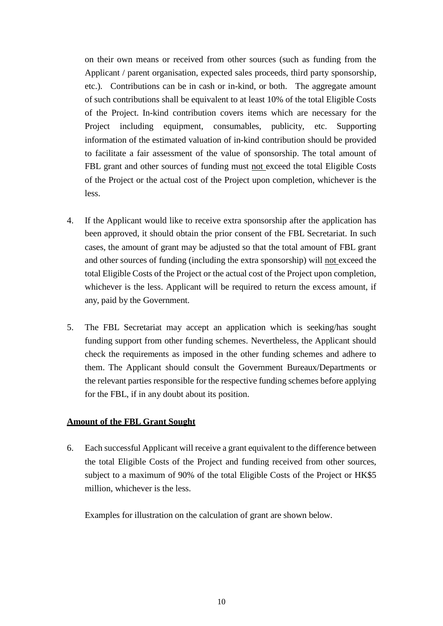on their own means or received from other sources (such as funding from the Applicant / parent organisation, expected sales proceeds, third party sponsorship, etc.). Contributions can be in cash or in-kind, or both. The aggregate amount of such contributions shall be equivalent to at least 10% of the total Eligible Costs of the Project. In-kind contribution covers items which are necessary for the Project including equipment, consumables, publicity, etc. Supporting information of the estimated valuation of in-kind contribution should be provided to facilitate a fair assessment of the value of sponsorship. The total amount of FBL grant and other sources of funding must not exceed the total Eligible Costs of the Project or the actual cost of the Project upon completion, whichever is the less.

- 4. If the Applicant would like to receive extra sponsorship after the application has been approved, it should obtain the prior consent of the FBL Secretariat. In such cases, the amount of grant may be adjusted so that the total amount of FBL grant and other sources of funding (including the extra sponsorship) will not exceed the total Eligible Costs of the Project or the actual cost of the Project upon completion, whichever is the less. Applicant will be required to return the excess amount, if any, paid by the Government.
- 5. The FBL Secretariat may accept an application which is seeking/has sought funding support from other funding schemes. Nevertheless, the Applicant should check the requirements as imposed in the other funding schemes and adhere to them. The Applicant should consult the Government Bureaux/Departments or the relevant parties responsible for the respective funding schemes before applying for the FBL, if in any doubt about its position.

## **Amount of the FBL Grant Sought**

6. Each successful Applicant will receive a grant equivalent to the difference between the total Eligible Costs of the Project and funding received from other sources, subject to a maximum of 90% of the total Eligible Costs of the Project or HK\$5 million, whichever is the less.

Examples for illustration on the calculation of grant are shown below.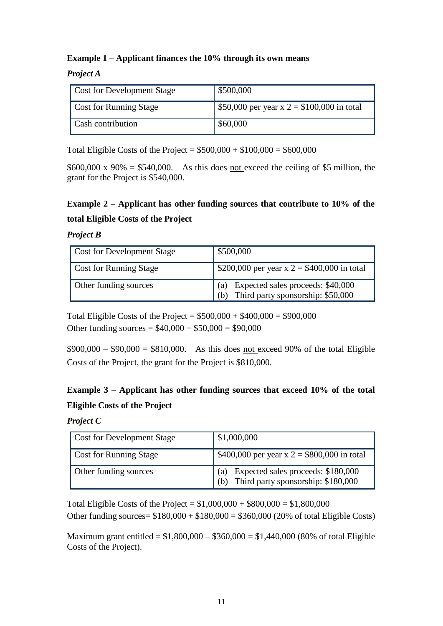## **Example 1 – Applicant finances the 10% through its own means**

## *Project A*

| <b>Cost for Development Stage</b> | \$500,000                                  |
|-----------------------------------|--------------------------------------------|
| <b>Cost for Running Stage</b>     | \$50,000 per year x 2 = \$100,000 in total |
| Cash contribution                 | \$60,000                                   |

Total Eligible Costs of the Project =  $$500,000 + $100,000 = $600,000$ 

 $$600,000 \times 90\% = $540,000$ . As this does <u>not exceed</u> the ceiling of \$5 million, the grant for the Project is \$540,000.

## **Example 2 – Applicant has other funding sources that contribute to 10% of the total Eligible Costs of the Project**

## *Project B*

| <b>Cost for Development Stage</b> | \$500,000                                                                      |
|-----------------------------------|--------------------------------------------------------------------------------|
| <b>Cost for Running Stage</b>     | \$200,000 per year x 2 = \$400,000 in total                                    |
| <b>Other funding sources</b>      | (a) Expected sales proceeds: \$40,000<br>(b) Third party sponsorship: \$50,000 |

Total Eligible Costs of the Project =  $$500,000 + $400,000 = $900,000$ Other funding sources =  $$40,000 + $50,000 = $90,000$ 

 $$900,000 - $90,000 = $810,000$ . As this does not exceed 90% of the total Eligible Costs of the Project, the grant for the Project is \$810,000.

## **Example 3 – Applicant has other funding sources that exceed 10% of the total Eligible Costs of the Project**

#### *Project C*

| <b>Cost for Development Stage</b> | \$1,000,000                                                                            |  |
|-----------------------------------|----------------------------------------------------------------------------------------|--|
| <b>Cost for Running Stage</b>     | \$400,000 per year x 2 = \$800,000 in total                                            |  |
| Other funding sources             | Expected sales proceeds: \$180,000<br>(a)<br>Third party sponsorship: \$180,000<br>(b) |  |

Total Eligible Costs of the Project =  $$1,000,000 + $800,000 = $1,800,000$ Other funding sources=  $$180,000 + $180,000 = $360,000 (20\% of total Elizabeth)$ 

Maximum grant entitled =  $$1,800,000 - $360,000 = $1,440,000$  (80% of total Eligible Costs of the Project).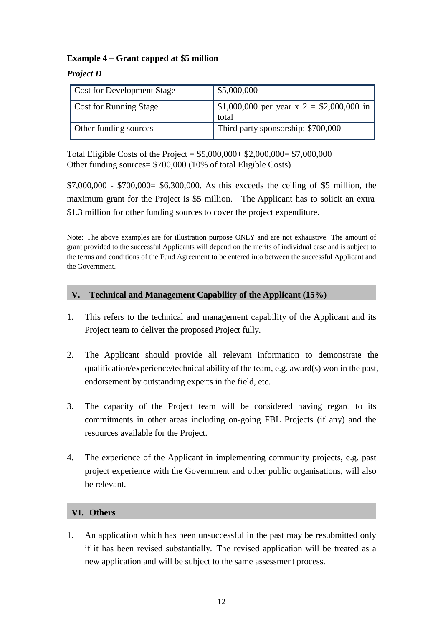## **Example 4 – Grant capped at \$5 million**

*Project D*

| <b>Cost for Development Stage</b> | \$5,000,000                                                |
|-----------------------------------|------------------------------------------------------------|
| <b>Cost for Running Stage</b>     | $\vert$ \$1,000,000 per year x 2 = \$2,000,000 in<br>total |
| Other funding sources             | Third party sponsorship: \$700,000                         |

Total Eligible Costs of the Project =  $$5,000,000+ $2,000,000= $7,000,000$ Other funding sources= \$700,000 (10% of total Eligible Costs)

\$7,000,000 - \$700,000= \$6,300,000. As this exceeds the ceiling of \$5 million, the maximum grant for the Project is \$5 million. The Applicant has to solicit an extra \$1.3 million for other funding sources to cover the project expenditure.

Note: The above examples are for illustration purpose ONLY and are not exhaustive. The amount of grant provided to the successful Applicants will depend on the merits of individual case and is subject to the terms and conditions of the Fund Agreement to be entered into between the successful Applicant and the Government.

## <span id="page-13-0"></span>**V. Technical and Management Capability of the Applicant (15%)**

- 1. This refers to the technical and management capability of the Applicant and its Project team to deliver the proposed Project fully.
- 2. The Applicant should provide all relevant information to demonstrate the qualification/experience/technical ability of the team, e.g. award(s) won in the past, endorsement by outstanding experts in the field, etc.
- 3. The capacity of the Project team will be considered having regard to its commitments in other areas including on-going FBL Projects (if any) and the resources available for the Project.
- 4. The experience of the Applicant in implementing community projects, e.g. past project experience with the Government and other public organisations, will also be relevant.

## <span id="page-13-1"></span>**VI. Others**

1. An application which has been unsuccessful in the past may be resubmitted only if it has been revised substantially. The revised application will be treated as a new application and will be subject to the same assessment process.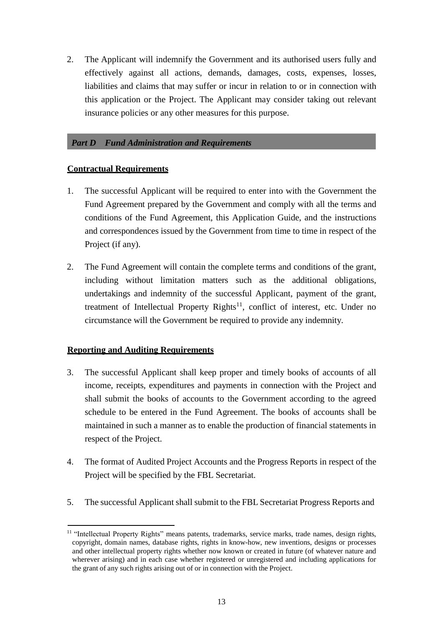2. The Applicant will indemnify the Government and its authorised users fully and effectively against all actions, demands, damages, costs, expenses, losses, liabilities and claims that may suffer or incur in relation to or in connection with this application or the Project. The Applicant may consider taking out relevant insurance policies or any other measures for this purpose.

## <span id="page-14-0"></span>*Part D Fund Administration and Requirements*

## <span id="page-14-1"></span>**Contractual Requirements**

- 1. The successful Applicant will be required to enter into with the Government the Fund Agreement prepared by the Government and comply with all the terms and conditions of the Fund Agreement, this Application Guide, and the instructions and correspondences issued by the Government from time to time in respect of the Project (if any).
- 2. The Fund Agreement will contain the complete terms and conditions of the grant, including without limitation matters such as the additional obligations, undertakings and indemnity of the successful Applicant, payment of the grant, treatment of Intellectual Property Rights<sup>11</sup>, conflict of interest, etc. Under no circumstance will the Government be required to provide any indemnity.

## <span id="page-14-2"></span>**Reporting and Auditing Requirements**

- 3. The successful Applicant shall keep proper and timely books of accounts of all income, receipts, expenditures and payments in connection with the Project and shall submit the books of accounts to the Government according to the agreed schedule to be entered in the Fund Agreement. The books of accounts shall be maintained in such a manner as to enable the production of financial statements in respect of the Project.
- 4. The format of Audited Project Accounts and the Progress Reports in respect of the Project will be specified by the FBL Secretariat.
- 5. The successful Applicant shall submit to the FBL Secretariat Progress Reports and

<sup>&</sup>lt;sup>11</sup> "Intellectual Property Rights" means patents, trademarks, service marks, trade names, design rights, copyright, domain names, database rights, rights in know-how, new inventions, designs or processes and other intellectual property rights whether now known or created in future (of whatever nature and wherever arising) and in each case whether registered or unregistered and including applications for the grant of any such rights arising out of or in connection with the Project.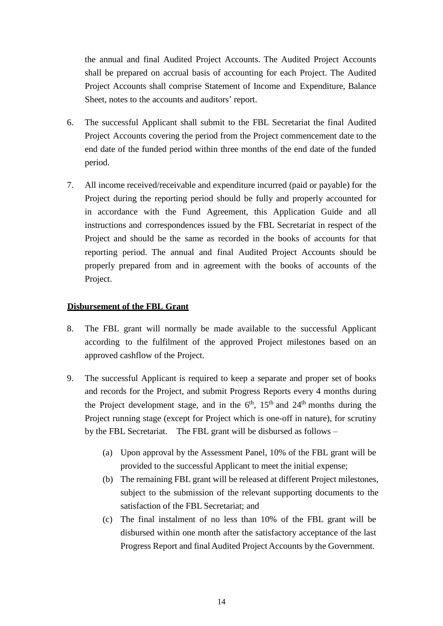<span id="page-15-1"></span>the annual and final Audited Project Accounts. The Audited Project Accounts shall be prepared on accrual basis of accounting for each Project. The Audited Project Accounts shall comprise Statement of Income and Expenditure, Balance Sheet, notes to the accounts and auditors' report.

- 6. The successful Applicant shall submit to the FBL Secretariat the final Audited Project Accounts covering the period from the Project commencement date to the end date of the funded period within three months of the end date of the funded period.
- 7. All income received/receivable and expenditure incurred (paid or payable) for the Project during the reporting period should be fully and properly accounted for in accordance with the Fund Agreement, this Application Guide and all instructions and correspondences issued by the FBL Secretariat in respect of the Project and should be the same as recorded in the books of accounts for that reporting period. The annual and final Audited Project Accounts should be properly prepared from and in agreement with the books of accounts of the Project.

## <span id="page-15-0"></span>**Disbursement of the FBL Grant**

- 8. The FBL grant will normally be made available to the successful Applicant according to the fulfilment of the approved Project milestones based on an approved cashflow of the Project.
- 9. The successful Applicant is required to keep a separate and proper set of books and records for the Project, and submit Progress Reports every 4 months during the Project development stage, and in the  $6<sup>th</sup>$ ,  $15<sup>th</sup>$  and  $24<sup>th</sup>$  months during the Project running stage (except for Project which is one-off in nature), for scrutiny by the FBL Secretariat. The FBL grant will be disbursed as follows –
	- (a) Upon approval by the Assessment Panel, 10% of the FBL grant will be provided to the successful Applicant to meet the initial expense;
	- (b) The remaining FBL grant will be released at different Project milestones, subject to the submission of the relevant supporting documents to the satisfaction of the FBL Secretariat; and
	- (c) The final instalment of no less than 10% of the FBL grant will be disbursed within one month after the satisfactory acceptance of the last Progress Report and final Audited Project Accounts by the Government.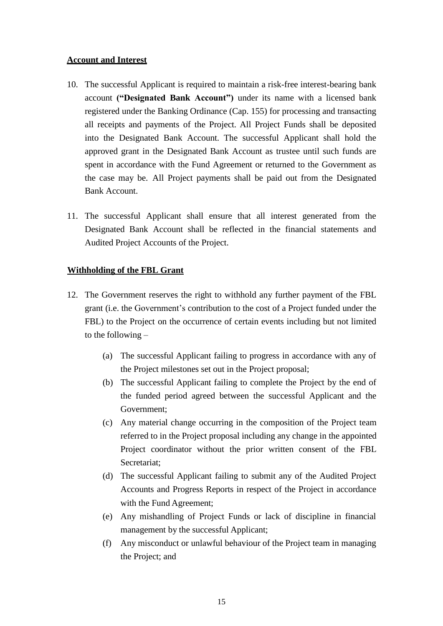## **Account and Interest**

- 10. The successful Applicant is required to maintain a risk-free interest-bearing bank account **("Designated Bank Account")** under its name with a licensed bank registered under the Banking Ordinance (Cap. 155) for processing and transacting all receipts and payments of the Project. All Project Funds shall be deposited into the Designated Bank Account. The successful Applicant shall hold the approved grant in the Designated Bank Account as trustee until such funds are spent in accordance with the Fund Agreement or returned to the Government as the case may be. All Project payments shall be paid out from the Designated Bank Account.
- 11. The successful Applicant shall ensure that all interest generated from the Designated Bank Account shall be reflected in the financial statements and Audited Project Accounts of the Project.

## <span id="page-16-0"></span>**Withholding of the FBL Grant**

- 12. The Government reserves the right to withhold any further payment of the FBL grant (i.e. the Government's contribution to the cost of a Project funded under the FBL) to the Project on the occurrence of certain events including but not limited to the following –
	- (a) The successful Applicant failing to progress in accordance with any of the Project milestones set out in the Project proposal;
	- (b) The successful Applicant failing to complete the Project by the end of the funded period agreed between the successful Applicant and the Government;
	- (c) Any material change occurring in the composition of the Project team referred to in the Project proposal including any change in the appointed Project coordinator without the prior written consent of the FBL Secretariat;
	- (d) The successful Applicant failing to submit any of the Audited Project Accounts and Progress Reports in respect of the Project in accordance with the Fund Agreement;
	- (e) Any mishandling of Project Funds or lack of discipline in financial management by the successful Applicant;
	- (f) Any misconduct or unlawful behaviour of the Project team in managing the Project; and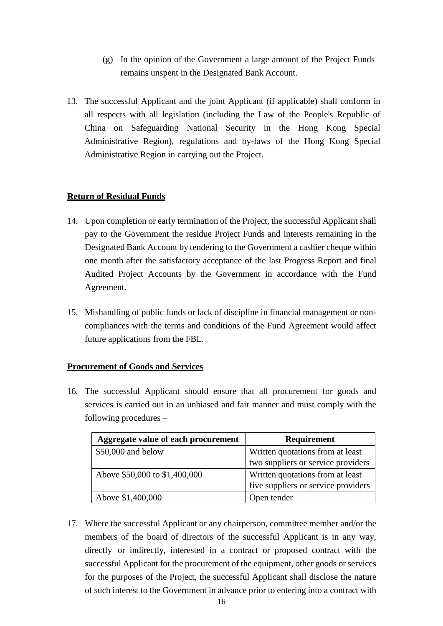- (g) In the opinion of the Government a large amount of the Project Funds remains unspent in the Designated Bank Account.
- 13. The successful Applicant and the joint Applicant (if applicable) shall conform in all respects with all legislation (including the Law of the People's Republic of China on Safeguarding National Security in the Hong Kong Special Administrative Region), regulations and by-laws of the Hong Kong Special Administrative Region in carrying out the Project.

## <span id="page-17-0"></span>**Return of Residual Funds**

- 14. Upon completion or early termination of the Project, the successful Applicant shall pay to the Government the residue Project Funds and interests remaining in the Designated Bank Account by tendering to the Government a cashier cheque within one month after the satisfactory acceptance of the last Progress Report and final Audited Project Accounts by the Government in accordance with the Fund Agreement.
- 15. Mishandling of public funds or lack of discipline in financial management or noncompliances with the terms and conditions of the Fund Agreement would affect future applications from the FBL.

## <span id="page-17-1"></span>**Procurement of Goods and Services**

16. The successful Applicant should ensure that all procurement for goods and services is carried out in an unbiased and fair manner and must comply with the following procedures –

| Aggregate value of each procurement | <b>Requirement</b>                  |
|-------------------------------------|-------------------------------------|
| \$50,000 and below                  | Written quotations from at least    |
|                                     | two suppliers or service providers  |
| Above \$50,000 to \$1,400,000       | Written quotations from at least    |
|                                     | five suppliers or service providers |
| Above \$1,400,000                   | Open tender                         |

17. Where the successful Applicant or any chairperson, committee member and/or the members of the board of directors of the successful Applicant is in any way, directly or indirectly, interested in a contract or proposed contract with the successful Applicant for the procurement of the equipment, other goods or services for the purposes of the Project, the successful Applicant shall disclose the nature of such interest to the Government in advance prior to entering into a contract with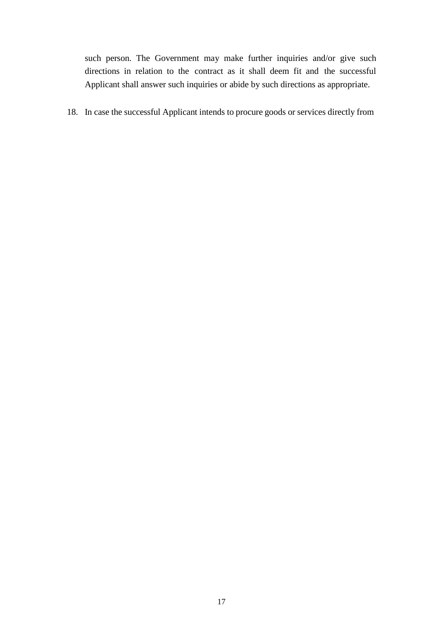such person. The Government may make further inquiries and/or give such directions in relation to the contract as it shall deem fit and the successful Applicant shall answer such inquiries or abide by such directions as appropriate.

18. In case the successful Applicant intends to procure goods or services directly from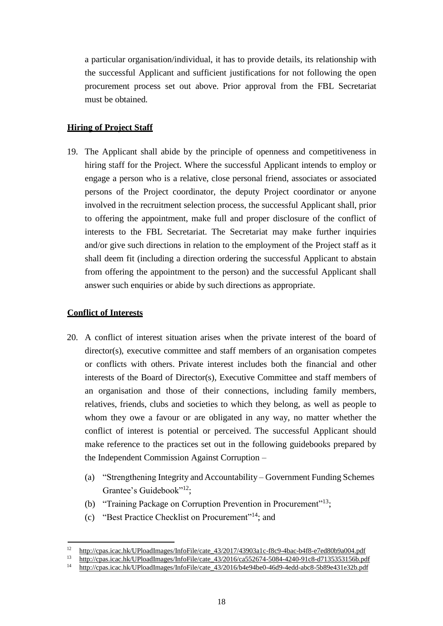a particular organisation/individual, it has to provide details, its relationship with the successful Applicant and sufficient justifications for not following the open procurement process set out above. Prior approval from the FBL Secretariat must be obtained.

## <span id="page-19-0"></span>**Hiring of Project Staff**

19. The Applicant shall abide by the principle of openness and competitiveness in hiring staff for the Project. Where the successful Applicant intends to employ or engage a person who is a relative, close personal friend, associates or associated persons of the Project coordinator, the deputy Project coordinator or anyone involved in the recruitment selection process, the successful Applicant shall, prior to offering the appointment, make full and proper disclosure of the conflict of interests to the FBL Secretariat. The Secretariat may make further inquiries and/or give such directions in relation to the employment of the Project staff as it shall deem fit (including a direction ordering the successful Applicant to abstain from offering the appointment to the person) and the successful Applicant shall answer such enquiries or abide by such directions as appropriate.

## <span id="page-19-1"></span>**Conflict of Interests**

- 20. A conflict of interest situation arises when the private interest of the board of director(s), executive committee and staff members of an organisation competes or conflicts with others. Private interest includes both the financial and other interests of the Board of Director(s), Executive Committee and staff members of an organisation and those of their connections, including family members, relatives, friends, clubs and societies to which they belong, as well as people to whom they owe a favour or are obligated in any way, no matter whether the conflict of interest is potential or perceived. The successful Applicant should make reference to the practices set out in the following guidebooks prepared by the Independent Commission Against Corruption –
	- (a) "Strengthening Integrity and Accountability Government Funding Schemes Grantee's Guidebook"<sup>12</sup>;
	- (b) "Training Package on Corruption Prevention in Procurement"<sup>13</sup>;
	- (c) "Best Practice Checklist on Procurement"<sup>14</sup>; and

<sup>&</sup>lt;sup>12</sup> [http://cpas.icac.hk/UPloadImages/InfoFile/cate\\_43/2017/43903a1c-f8c9-4bac-b4f8-e7ed80b9a004.pdf](http://cpas.icac.hk/UPloadImages/InfoFile/cate_43/2017/43903a1c-f8c9-4bac-b4f8-e7ed80b9a004.pdf)<br><sup>13</sup> http://cpas.icac.hk/UPloadImages/InfoFile/cate\_43/2016/ca552674-5084-4240-91c8-d7135353156b.pd

<sup>&</sup>lt;sup>13</sup> http://cpas.icac.hk/UPloadImages/InfoFile/cate  $\frac{43}{2016}$ /ca552674-5084-4240-91c8-d7135353156b.pdf<br><sup>14</sup> http://cpas.icac.hk/UPloadImages/InfoFile/cate 43/2016/h4e94be0\_46d9\_4edd\_abc8\_5b89e431e32b.pdf

<sup>14</sup> [http://cpas.icac.hk/UPloadImages/InfoFile/cate\\_43/2016/b4e94be0-46d9-4edd-abc8-5b89e431e32b.pdf](http://cpas.icac.hk/UPloadImages/InfoFile/cate_43/2016/b4e94be0-46d9-4edd-abc8-5b89e431e32b.pdf)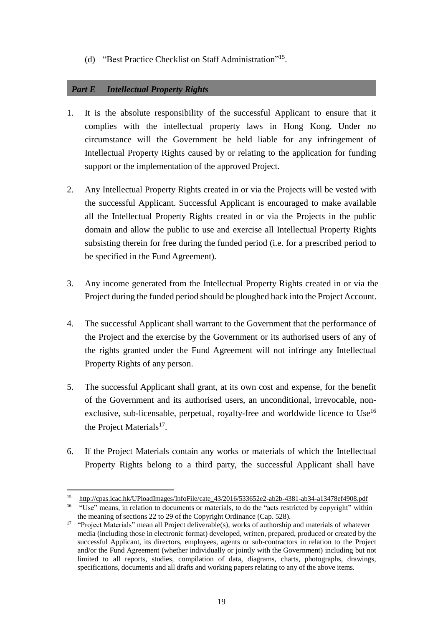(d) "Best Practice Checklist on Staff Administration"<sup>15</sup>.

## <span id="page-20-0"></span>*Part E Intellectual Property Rights*

- 1. It is the absolute responsibility of the successful Applicant to ensure that it complies with the intellectual property laws in Hong Kong. Under no circumstance will the Government be held liable for any infringement of Intellectual Property Rights caused by or relating to the application for funding support or the implementation of the approved Project.
- 2. Any Intellectual Property Rights created in or via the Projects will be vested with the successful Applicant. Successful Applicant is encouraged to make available all the Intellectual Property Rights created in or via the Projects in the public domain and allow the public to use and exercise all Intellectual Property Rights subsisting therein for free during the funded period (i.e. for a prescribed period to be specified in the Fund Agreement).
- 3. Any income generated from the Intellectual Property Rights created in or via the Project during the funded period should be ploughed back into the Project Account.
- 4. The successful Applicant shall warrant to the Government that the performance of the Project and the exercise by the Government or its authorised users of any of the rights granted under the Fund Agreement will not infringe any Intellectual Property Rights of any person.
- 5. The successful Applicant shall grant, at its own cost and expense, for the benefit of the Government and its authorised users, an unconditional, irrevocable, nonexclusive, sub-licensable, perpetual, royalty-free and worldwide licence to Use<sup>16</sup> the Project Materials $^{17}$ .
- 6. If the Project Materials contain any works or materials of which the Intellectual Property Rights belong to a third party, the successful Applicant shall have

<sup>15</sup> http://cpas.icac.hk/UPloadImages/InfoFile/cate 43/2016/533652e2-ab2b-4381-ab34-a13478ef4908.pdf

<sup>&</sup>lt;sup>16</sup> "Use" means, in relation to documents or materials, to do the "acts restricted by copyright" within the meaning of sections 22 to 29 of the Copyright Ordinance (Cap. 528).

<sup>&</sup>lt;sup>17</sup> "Project Materials" mean all Project deliverable(s), works of authorship and materials of whatever media (including those in electronic format) developed, written, prepared, produced or created by the successful Applicant, its directors, employees, agents or sub-contractors in relation to the Project and/or the Fund Agreement (whether individually or jointly with the Government) including but not limited to all reports, studies, compilation of data, diagrams, charts, photographs, drawings, specifications, documents and all drafts and working papers relating to any of the above items.